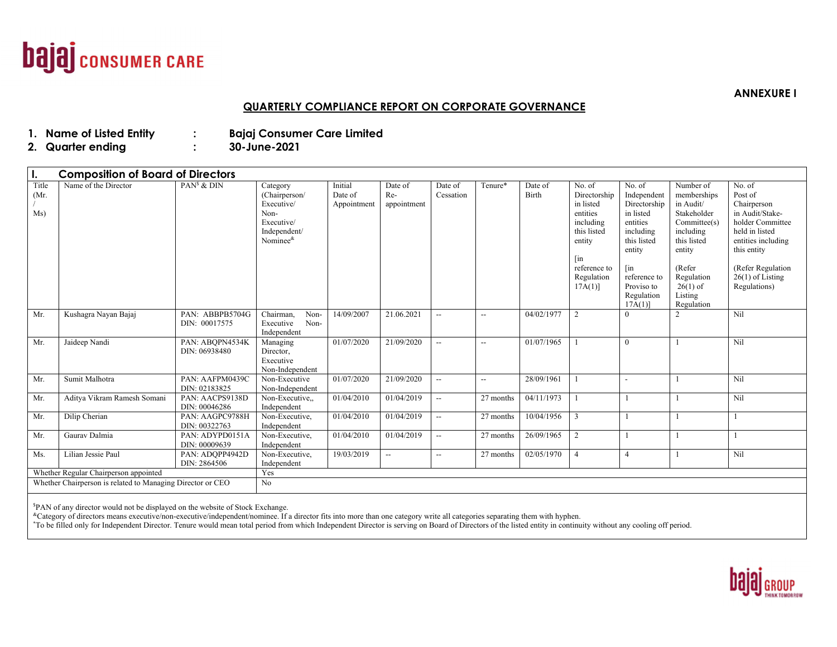

### **QUARTERLY COMPLIANCE REPORT ON CORPORATE GOVERNANCE**

## **1.**

**Name of Consumer Care Limited :** 80-June-2021

**2. Quarter ending : 30-June-2021** 

| $\mathbf{I}$ .                                                                                      | <b>Composition of Board of Directors</b> |                                  |                                                                                                           |                                   |                                 |                          |                          |                  |                                                                                                                                            |                                                                                                                                                                   |                                                                                                                                                                           |                                                                                                                                                                                           |
|-----------------------------------------------------------------------------------------------------|------------------------------------------|----------------------------------|-----------------------------------------------------------------------------------------------------------|-----------------------------------|---------------------------------|--------------------------|--------------------------|------------------|--------------------------------------------------------------------------------------------------------------------------------------------|-------------------------------------------------------------------------------------------------------------------------------------------------------------------|---------------------------------------------------------------------------------------------------------------------------------------------------------------------------|-------------------------------------------------------------------------------------------------------------------------------------------------------------------------------------------|
| Title<br>(Mr.<br>Ms)                                                                                | Name of the Director                     | $PANs$ & $DIN$                   | Category<br>(Chairperson/<br>Executive/<br>Non-<br>Executive/<br>Independent/<br>Nominee <sup>&amp;</sup> | Initial<br>Date of<br>Appointment | Date of<br>$Re-$<br>appointment | Date of<br>Cessation     | Tenure*                  | Date of<br>Birth | No. of<br>Directorship<br>in listed<br>entities<br>including<br>this listed<br>entity<br>$\int$ in<br>reference to<br>Regulation<br>17A(1) | No. of<br>Independent<br>Directorship<br>in listed<br>entities<br>including<br>this listed<br>entity<br>[in<br>reference to<br>Proviso to<br>Regulation<br>17A(1) | Number of<br>memberships<br>in Audit/<br>Stakeholder<br>Committee(s)<br>including<br>this listed<br>entity<br>(Refer<br>Regulation<br>$26(1)$ of<br>Listing<br>Regulation | No. of<br>Post of<br>Chairperson<br>in Audit/Stake-<br>holder Committee<br>held in listed<br>entities including<br>this entity<br>(Refer Regulation<br>$26(1)$ of Listing<br>Regulations) |
| Mr.                                                                                                 | Kushagra Nayan Bajaj                     | PAN: ABBPB5704G<br>DIN: 00017575 | Chairman,<br>Non-<br>Non-<br>Executive<br>Independent                                                     | 14/09/2007                        | 21.06.2021                      | $\overline{\phantom{a}}$ | $\overline{\phantom{a}}$ | 04/02/1977       | 2                                                                                                                                          | 0                                                                                                                                                                 | $\overline{2}$                                                                                                                                                            | Nil                                                                                                                                                                                       |
| Mr.                                                                                                 | Jaideep Nandi                            | PAN: ABOPN4534K<br>DIN: 06938480 | Managing<br>Director.<br>Executive<br>Non-Independent                                                     | 01/07/2020                        | 21/09/2020                      | $\overline{\phantom{a}}$ | $\overline{\phantom{a}}$ | 01/07/1965       |                                                                                                                                            | $\Omega$                                                                                                                                                          |                                                                                                                                                                           | Nil                                                                                                                                                                                       |
| Mr.                                                                                                 | Sumit Malhotra                           | PAN: AAFPM0439C<br>DIN: 02183825 | Non-Executive<br>Non-Independent                                                                          | 01/07/2020                        | 21/09/2020                      | $\overline{\phantom{a}}$ | $\overline{\phantom{a}}$ | 28/09/1961       |                                                                                                                                            |                                                                                                                                                                   |                                                                                                                                                                           | Nil                                                                                                                                                                                       |
| Mr.                                                                                                 | Aditya Vikram Ramesh Somani              | PAN: AACPS9138D<br>DIN: 00046286 | Non-Executive<br>Independent                                                                              | 01/04/2010                        | 01/04/2019                      | $\overline{\phantom{a}}$ | 27 months                | 04/11/1973       |                                                                                                                                            |                                                                                                                                                                   |                                                                                                                                                                           | Nil                                                                                                                                                                                       |
| Mr.                                                                                                 | Dilip Cherian                            | PAN: AAGPC9788H<br>DIN: 00322763 | Non-Executive.<br>Independent                                                                             | 01/04/2010                        | 01/04/2019                      | $\overline{\phantom{a}}$ | 27 months                | 10/04/1956       | 3                                                                                                                                          |                                                                                                                                                                   |                                                                                                                                                                           |                                                                                                                                                                                           |
| Mr.                                                                                                 | Gaurav Dalmia                            | PAN: ADYPD0151A<br>DIN: 00009639 | Non-Executive.<br>Independent                                                                             | 01/04/2010                        | 01/04/2019                      | $\overline{\phantom{a}}$ | 27 months                | 26/09/1965       | $\overline{2}$                                                                                                                             |                                                                                                                                                                   |                                                                                                                                                                           |                                                                                                                                                                                           |
| Ms.                                                                                                 | Lilian Jessie Paul                       | PAN: ADOPP4942D<br>DIN: 2864506  | Non-Executive.<br>Independent                                                                             | 19/03/2019                        | $\overline{\phantom{a}}$        | $\overline{\phantom{a}}$ | 27 months                | 02/05/1970       | $\overline{4}$                                                                                                                             | $\overline{4}$                                                                                                                                                    |                                                                                                                                                                           | Nil                                                                                                                                                                                       |
| Whether Regular Chairperson appointed<br>Whether Chairperson is related to Managing Director or CEO |                                          | Yes<br>No                        |                                                                                                           |                                   |                                 |                          |                          |                  |                                                                                                                                            |                                                                                                                                                                   |                                                                                                                                                                           |                                                                                                                                                                                           |

\$PAN of any director would not be displayed on the website of Stock Exchange.

\*To be filled only for Independent Director. Tenure would mean total period from which Independent Director is serving on Board of Directors of the listed entity in continuity without any cooling off period.



 **ANNEXURE I**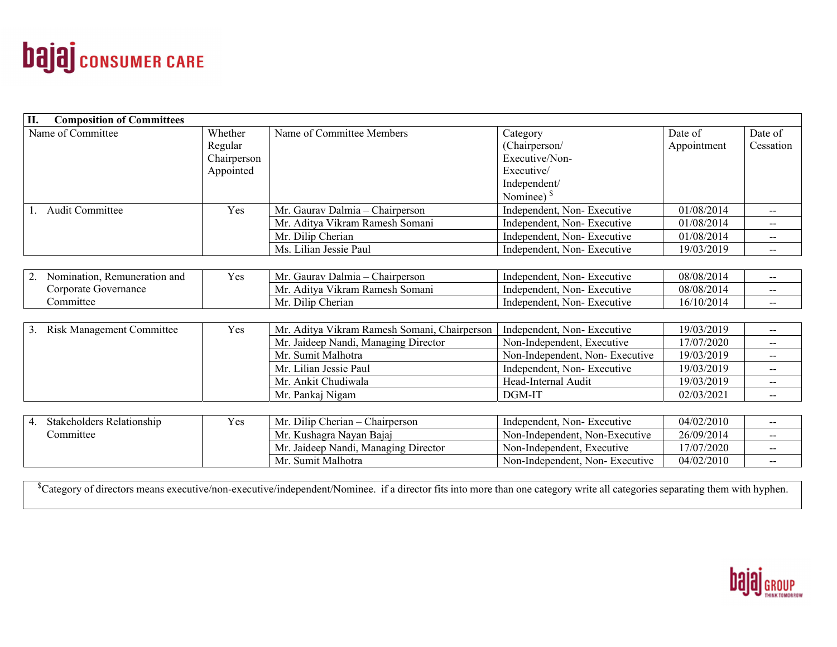

| <b>Composition of Committees</b><br>П. |             |                                              |                                |             |           |
|----------------------------------------|-------------|----------------------------------------------|--------------------------------|-------------|-----------|
| Name of Committee                      | Whether     | Name of Committee Members                    | Category                       | Date of     | Date of   |
|                                        | Regular     |                                              | (Chairperson/                  | Appointment | Cessation |
|                                        | Chairperson |                                              | Executive/Non-                 |             |           |
|                                        | Appointed   |                                              | Executive/                     |             |           |
|                                        |             |                                              | Independent/                   |             |           |
|                                        |             |                                              | Nominee) $§$                   |             |           |
| <b>Audit Committee</b>                 | Yes         | Mr. Gaurav Dalmia - Chairperson              | Independent, Non-Executive     | 01/08/2014  | --        |
|                                        |             | Mr. Aditya Vikram Ramesh Somani              | Independent, Non-Executive     | 01/08/2014  | $- -$     |
|                                        |             | Mr. Dilip Cherian                            | Independent, Non-Executive     | 01/08/2014  | $- -$     |
|                                        |             | Ms. Lilian Jessie Paul                       | Independent, Non-Executive     | 19/03/2019  | $- -$     |
|                                        |             |                                              |                                |             |           |
| Nomination, Remuneration and           | Yes         | Mr. Gaurav Dalmia - Chairperson              | Independent, Non-Executive     | 08/08/2014  | $-$       |
| Corporate Governance                   |             | Mr. Aditya Vikram Ramesh Somani              | Independent, Non-Executive     | 08/08/2014  | $-$       |
| Committee                              |             | Mr. Dilip Cherian                            | Independent, Non-Executive     | 16/10/2014  | $- -$     |
|                                        |             |                                              |                                |             |           |
| 3. Risk Management Committee           | Yes         | Mr. Aditya Vikram Ramesh Somani, Chairperson | Independent, Non-Executive     | 19/03/2019  |           |
|                                        |             | Mr. Jaideep Nandi, Managing Director         | Non-Independent, Executive     | 17/07/2020  | $- -$     |
|                                        |             | Mr. Sumit Malhotra                           | Non-Independent, Non-Executive | 19/03/2019  | $- -$     |
|                                        |             | Mr. Lilian Jessie Paul                       | Independent, Non-Executive     | 19/03/2019  | $- -$     |
|                                        |             | Mr. Ankit Chudiwala                          | Head-Internal Audit            | 19/03/2019  | --        |
|                                        |             | Mr. Pankaj Nigam                             | DGM-IT                         | 02/03/2021  | $-$       |
|                                        |             |                                              |                                |             |           |
| 4. Stakeholders Relationship           | Yes         | Mr. Dilip Cherian - Chairperson              | Independent, Non-Executive     | 04/02/2010  | $- -$     |
| Committee                              |             | Mr. Kushagra Nayan Bajaj                     | Non-Independent, Non-Executive | 26/09/2014  | --        |
|                                        |             | Mr. Jaideep Nandi, Managing Director         | Non-Independent, Executive     | 17/07/2020  | $- -$     |
|                                        |             | Mr. Sumit Malhotra                           | Non-Independent, Non-Executive | 04/02/2010  | $- -$     |

<sup>§</sup>Category of directors means executive/non-executive/independent/Nominee. if a director fits into more than one category write all categories separating them with hyphen.

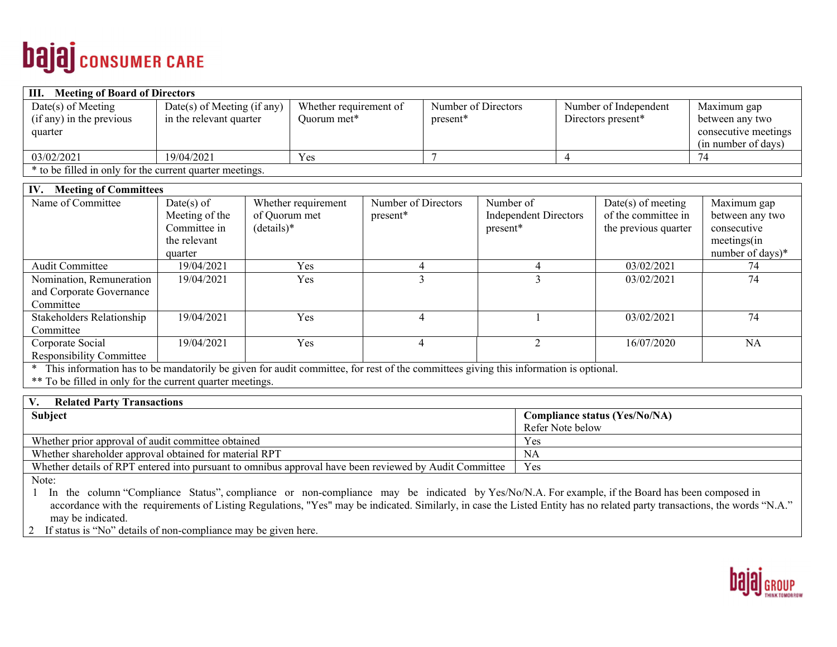# **bajaj** consumer CARE

| <b>Meeting of Board of Directors</b><br>HI.              |                               |                        |                     |                       |                      |  |
|----------------------------------------------------------|-------------------------------|------------------------|---------------------|-----------------------|----------------------|--|
| $Date(s)$ of Meeting                                     | $Date(s)$ of Meeting (if any) | Whether requirement of | Number of Directors | Number of Independent | Maximum gap          |  |
| (if any) in the previous                                 | in the relevant quarter       | Quorum met*            | present*            | Directors present*    | between any two      |  |
| quarter                                                  |                               |                        |                     |                       | consecutive meetings |  |
|                                                          |                               |                        |                     |                       | (in number of days)  |  |
| 03/02/2021                                               | 19/04/2021                    | Yes                    |                     |                       |                      |  |
| * to be filled in only for the current quarter meetings. |                               |                        |                     |                       |                      |  |

| <b>Meeting of Committees</b><br>IV. |                |                     |                     |                              |                      |                  |
|-------------------------------------|----------------|---------------------|---------------------|------------------------------|----------------------|------------------|
| Name of Committee                   | $Date(s)$ of   | Whether requirement | Number of Directors | Number of                    | $Date(s)$ of meeting | Maximum gap      |
|                                     | Meeting of the | of Quorum met       | present*            | <b>Independent Directors</b> | of the committee in  | between any two  |
|                                     | Committee in   | $(details)*$        |                     | present*                     | the previous quarter | consecutive      |
|                                     | the relevant   |                     |                     |                              |                      | meetings(in      |
|                                     | quarter        |                     |                     |                              |                      | number of days)* |
| <b>Audit Committee</b>              | 19/04/2021     | Yes                 |                     |                              | 03/02/2021           | 74               |
| Nomination, Remuneration            | 19/04/2021     | Yes                 |                     |                              | 03/02/2021           | 74               |
| and Corporate Governance            |                |                     |                     |                              |                      |                  |
| Committee                           |                |                     |                     |                              |                      |                  |
| Stakeholders Relationship           | 19/04/2021     | Yes                 | 4                   |                              | 03/02/2021           | 74               |
| Committee                           |                |                     |                     |                              |                      |                  |
| Corporate Social                    | 19/04/2021     | Yes                 |                     |                              | 16/07/2020           | <b>NA</b>        |
| <b>Responsibility Committee</b>     |                |                     |                     |                              |                      |                  |
|                                     |                |                     |                     |                              |                      |                  |

\* This information has to be mandatorily be given for audit committee, for rest of the committees giving this information is optional.

\*\* To be filled in only for the current quarter meetings.

Note:

1 In the column "Compliance Status", compliance or non-compliance may be indicated by Yes/No/N.A. For example, if the Board has been composed in accordance with the requirements of Listing Regulations, "Yes" may be indicated. Similarly, in case the Listed Entity has no related party transactions, the words "N.A." may be indicated.

2 If status is "No" details of non-compliance may be given here.